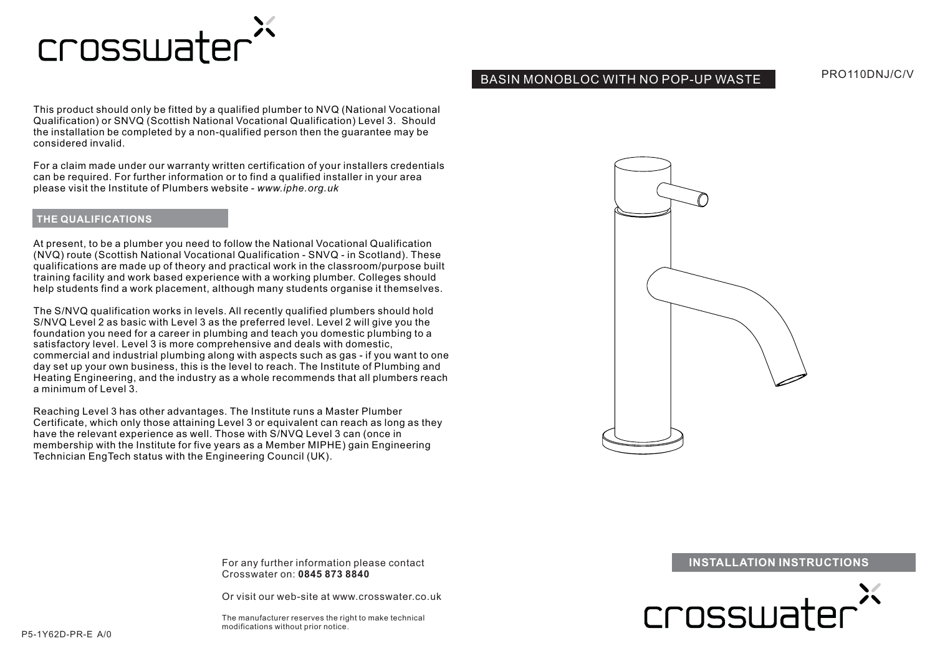

# BASIN MONOBLOC WITH NO POP-UP WASTE

PRO110DNJ/C/V

This product should only be fitted by a qualified plumber to NVQ (National Vocational Qualification) or SNVQ (Scottish National Vocational Qualification) Level 3. Should the installation be completed by a non-qualified person then the guarantee may be considered invalid.

For a claim made under our warranty written certification of your installers credentials can be required. For further information or to find a qualified installer in your area please visit the Institute of Plumbers website - *www.iphe.org.uk*

## **THE QUALIFICATIONS**

At present, to be a plumber you need to follow the National Vocational Qualification (NVQ) route (Scottish National Vocational Qualification - SNVQ - in Scotland). These qualifications are made up of theory and practical work in the classroom/purpose built training facility and work based experience with a working plumber. Colleges should help students find a work placement, although many students organise it themselves.

The S/NVQ qualification works in levels. All recently qualified plumbers should hold S/NVQ Level 2 as basic with Level 3 as the preferred level. Level 2 will give you the foundation you need for a career in plumbing and teach you domestic plumbing to a satisfactory level. Level 3 is more comprehensive and deals with domestic, commercial and industrial plumbing along with aspects such as gas - if you want to one day set up your own business, this is the level to reach. The Institute of Plumbing and Heating Engineering, and the industry as a whole recommends that all plumbers reach a minimum of Level 3.

Reaching Level 3 has other advantages. The Institute runs a Master Plumber Certificate, which only those attaining Level 3 or equivalent can reach as long as they have the relevant experience as well. Those with S/NVQ Level 3 can (once in membership with the Institute for five years as a Member MIPHE) gain Engineering Technician EngTech status with the Engineering Council (UK).



Crosswater on:**0845 873 8840**

Or visit our web-site at www.crosswater.co.uk

The manufacturer reserves the right to make technical modifications without prior notice.

For any further information please contact **INSTALLATION INSTRUCTIONS** 

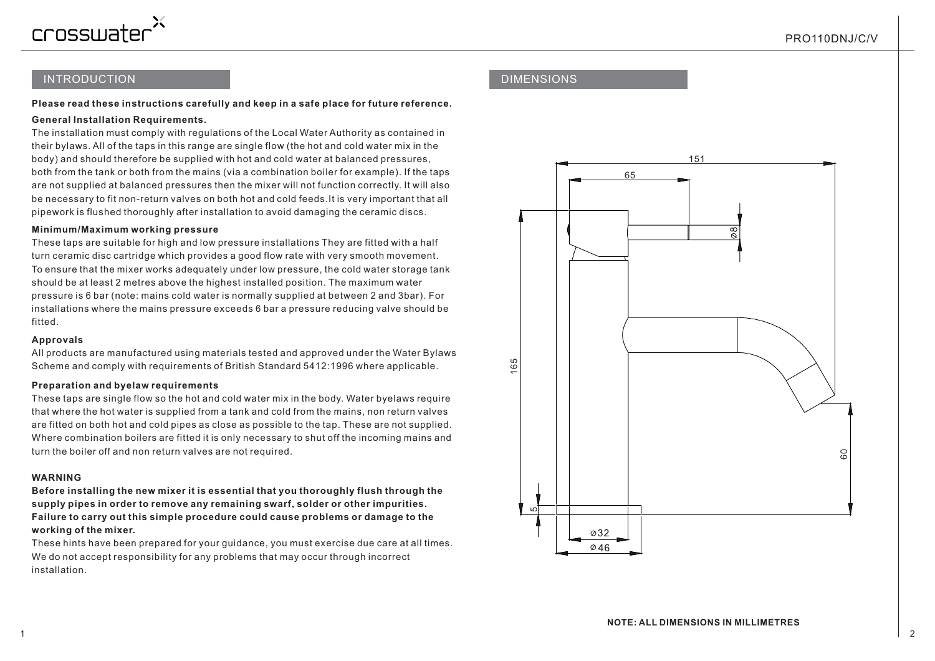

# INTRODUCTION

## **Please read these instructions carefully and keep in a safe place for future reference.**

## **General Installation Requirements.**

The installation must comply with regulations of the Local Water Authority as contained in their bylaws. All of the taps in this range are single flow (the hot and cold water mix in the body) and should therefore be supplied with hot and cold water at balanced pressures, both from the tank or both from the mains (via a combination boiler for example). If the taps are not supplied at balanced pressures then the mixer will not function correctly. It will also be necessary to fit non-return valves on both hot and cold feeds.It is very important that all pipework is flushed thoroughly after installation to avoid damaging the ceramic discs.

### **Minimum/Maximum working pressure**

These taps are suitable for high and low pressure installations They are fitted with a half turn ceramic disc cartridge which provides a good flow rate with very smooth movement. To ensure that the mixer works adequately under low pressure, the cold water storage tank should be at least 2 metres above the highest installed position. The maximum water pressure is 6 bar (note: mains cold water is normally supplied at between 2 and 3bar). For installations where the mains pressure exceeds 6 bar a pressure reducing valve should be fitted.

### **Approvals**

All products are manufactured using materials tested and approved under the Water Bylaws Scheme and comply with requirements of British Standard 5412:1996 where applicable.

### **Preparation and byelaw requirements**

These taps are single flow so the hot and cold water mix in the body. Water byelaws require that where the hot water is supplied from a tank and cold from the mains, non return valves are fitted on both hot and cold pipes as close as possible to the tap. These are not supplied. Where combination boilers are fitted it is only necessary to shut off the incoming mains and turn the boiler off and non return valves are not required.

### **WARNING**

**Before installing the new mixer it is essential that you thoroughly flush through the supply pipes in order to remove any remaining swarf, solder or other impurities. Failure to carry out this simple procedure could cause problems or damage to the working of the mixer.**

These hints have been prepared for your guidance, you must exercise due care at all times. We do not accept responsibility for any problems that may occur through incorrect installation.

## DIMENSIONS

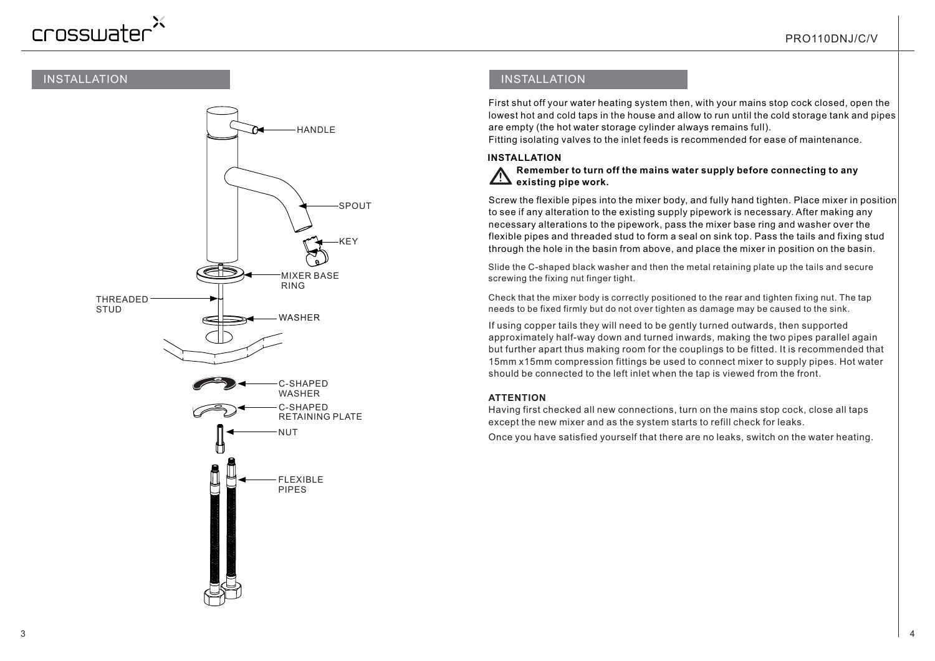# crosswater

# INSTALLATION



# INSTALLATION

First shut off your water heating system then, with your mains stop cock closed, open the lowest hot and cold taps in the house and allow to run until the cold storage tank and pipes are empty (the hot water storage cylinder always remains full).

Fitting isolating valves to the inlet feeds is recommended for ease of maintenance.

## **INSTALLATION**

#### *!***Remember to turn off the mains water supply before connecting to any existing pipe work.**

Screw the flexible pipes into the mixer body, and fully hand tighten. Place mixer in position to see if any alteration to the existing supply pipework is necessary. After making any necessary alterations to the pipework, pass the mixer base ring and washer over the flexible pipes and threaded stud to form a seal on sink top. Pass the tails and fixing stud through the hole in the basin from above, and place the mixer in position on the basin.

Slide the C-shaped black washer and then the metal retaining plate up the tails and secure screwing the fixing nut finger tight.

Check that the mixer body is correctly positioned to the rear and tighten fixing nut. The tap needs to be fixed firmly but do not over tighten as damage may be caused to the sink.

If using copper tails they will need to be gently turned outwards, then supported approximately half-way down and turned inwards, making the two pipes parallel again but further apart thus making room for the couplings to be fitted. It is recommended that 15mm x15mm compression fittings be used to connect mixer to supply pipes. Hot water should be connected to the left inlet when the tap is viewed from the front.

## **ATTENTION**

Having first checked all new connections, turn on the mains stop cock, close all taps except the new mixer and as the system starts to refill check for leaks.

Once you have satisfied yourself that there are no leaks, switch on the water heating.